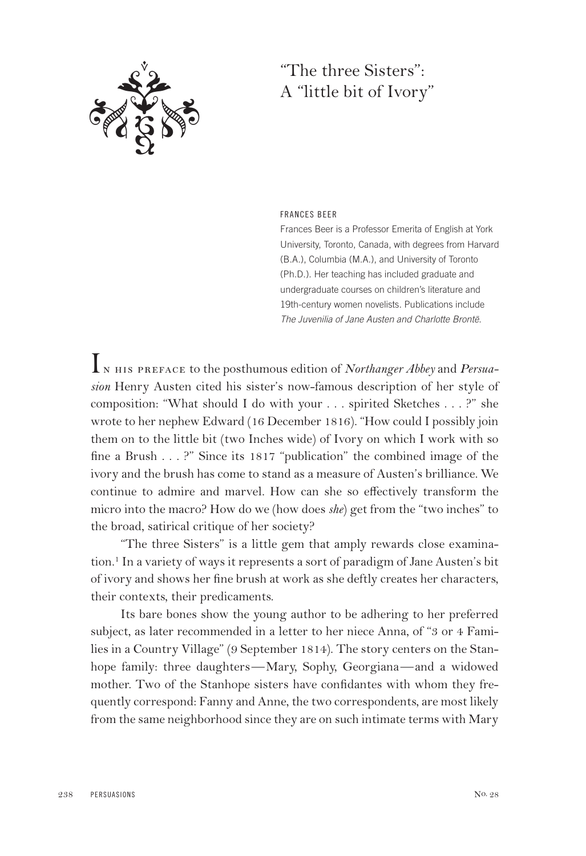

## "The three Sisters": A "little bit of Ivory"

### FRANCES BEER

Frances Beer is a Professor Emerita of English at York University, Toronto, Canada, with degrees from Harvard (B.A.), Columbia (M.A.), and University of Toronto (Ph.D.). Her teaching has included graduate and undergraduate courses on children's literature and 19th-century women novelists. Publications include The Juvenilia of Jane Austen and Charlotte Brontë.

In his preface to the posthumous edition of *Northanger Abbey* and *Persuasion* Henry Austen cited his sister's now-famous description of her style of composition: "What should I do with your . . . spirited Sketches . . . ?" she wrote to her nephew Edward (16 December 1816). "How could I possibly join them on to the little bit (two Inches wide) of Ivory on which I work with so fine a Brush . . . ?" Since its 1817 "publication" the combined image of the ivory and the brush has come to stand as a measure of Austen's brilliance. We continue to admire and marvel. How can she so effectively transform the micro into the macro? How do we (how does *she*) get from the "two inches" to the broad, satirical critique of her society?

"The three Sisters" is a little gem that amply rewards close examination.<sup>1</sup> In a variety of ways it represents a sort of paradigm of Jane Austen's bit of ivory and shows her fine brush at work as she deftly creates her characters, their contexts, their predicaments.

Its bare bones show the young author to be adhering to her preferred subject, as later recommended in a letter to her niece Anna, of "3 or 4 Families in a Country Village" (9 September 1814). The story centers on the Stanhope family: three daughters—Mary, Sophy, Georgiana—and a widowed mother. Two of the Stanhope sisters have confidantes with whom they frequently correspond: Fanny and Anne, the two correspondents, are most likely from the same neighborhood since they are on such intimate terms with Mary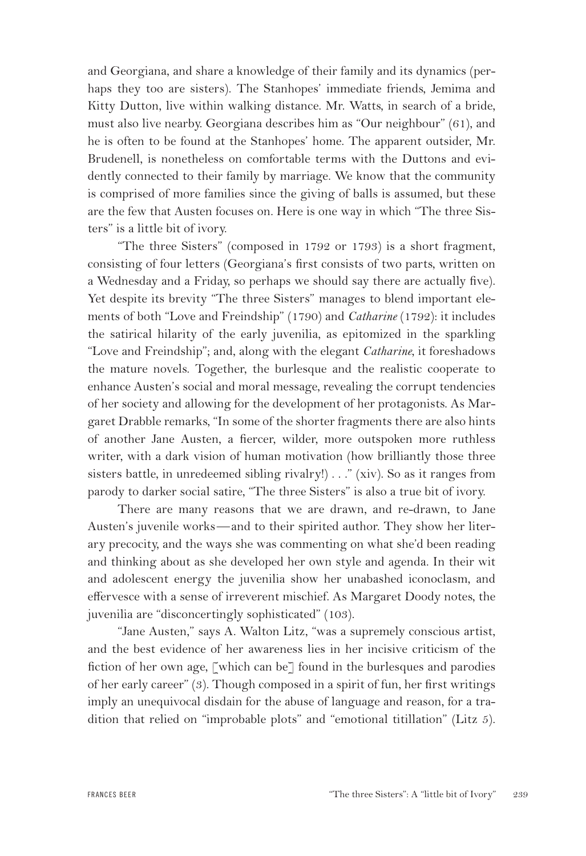and Georgiana, and share a knowledge of their family and its dynamics (perhaps they too are sisters). The Stanhopes' immediate friends, Jemima and Kitty Dutton, live within walking distance. Mr. Watts, in search of a bride, must also live nearby. Georgiana describes him as "Our neighbour" (61), and he is often to be found at the Stanhopes' home. The apparent outsider, Mr. Brudenell, is nonetheless on comfortable terms with the Duttons and evidently connected to their family by marriage. We know that the community is comprised of more families since the giving of balls is assumed, but these are the few that Austen focuses on. Here is one way in which "The three Sisters" is a little bit of ivory.

"The three Sisters" (composed in 1792 or 1793) is a short fragment, consisting of four letters (Georgiana's first consists of two parts, written on a Wednesday and a Friday, so perhaps we should say there are actually five). Yet despite its brevity "The three Sisters" manages to blend important elements of both "Love and Freindship" (1790) and *Catharine* (1792): it includes the satirical hilarity of the early juvenilia, as epitomized in the sparkling "Love and Freindship"; and, along with the elegant *Catharine*, it foreshadows the mature novels. Together, the burlesque and the realistic cooperate to enhance Austen's social and moral message, revealing the corrupt tendencies of her society and allowing for the development of her protagonists. As Margaret Drabble remarks, "In some of the shorter fragments there are also hints of another Jane Austen, a fiercer, wilder, more outspoken more ruthless writer, with a dark vision of human motivation (how brilliantly those three sisters battle, in unredeemed sibling rivalry!) . . ." (xiv). So as it ranges from parody to darker social satire, "The three Sisters" is also a true bit of ivory.

There are many reasons that we are drawn, and re-drawn, to Jane Austen's juvenile works—and to their spirited author. They show her literary precocity, and the ways she was commenting on what she'd been reading and thinking about as she developed her own style and agenda. In their wit and adolescent energy the juvenilia show her unabashed iconoclasm, and effervesce with a sense of irreverent mischief. As Margaret Doody notes, the juvenilia are "disconcertingly sophisticated" (103).

"Jane Austen," says A. Walton Litz, "was a supremely conscious artist, and the best evidence of her awareness lies in her incisive criticism of the fiction of her own age, [which can be] found in the burlesques and parodies of her early career" (3). Though composed in a spirit of fun, her first writings imply an unequivocal disdain for the abuse of language and reason, for a tradition that relied on "improbable plots" and "emotional titillation" (Litz 5).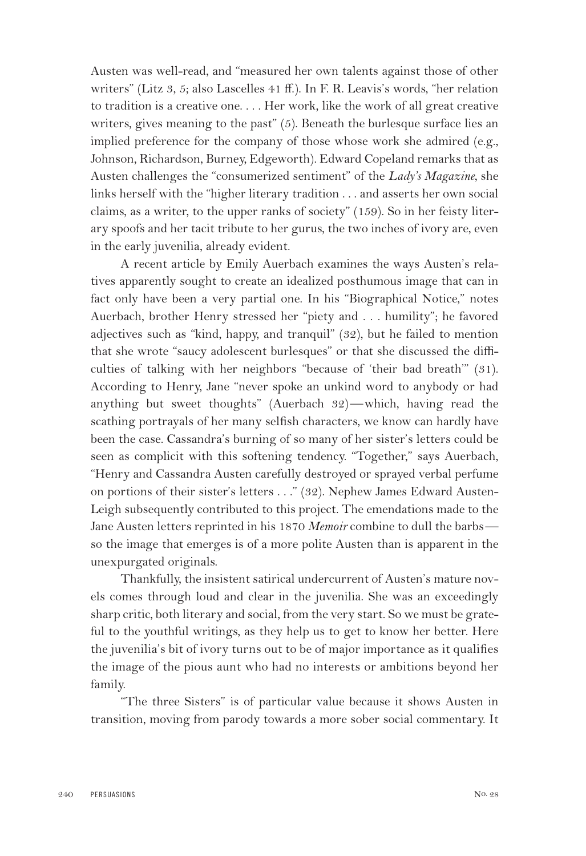Austen was well-read, and "measured her own talents against those of other writers" (Litz 3, 5; also Lascelles 41 ff.). In F. R. Leavis's words, "her relation to tradition is a creative one. . . . Her work, like the work of all great creative writers, gives meaning to the past" (5). Beneath the burlesque surface lies an implied preference for the company of those whose work she admired (e.g., Johnson, Richardson, Burney, Edgeworth). Edward Copeland remarks that as Austen challenges the "consumerized sentiment" of the *Lady's Magazine*, she links herself with the "higher literary tradition . . . and asserts her own social claims, as a writer, to the upper ranks of society" (159). So in her feisty literary spoofs and her tacit tribute to her gurus, the two inches of ivory are, even in the early juvenilia, already evident.

A recent article by Emily Auerbach examines the ways Austen's relatives apparently sought to create an idealized posthumous image that can in fact only have been a very partial one. In his "Biographical Notice," notes Auerbach, brother Henry stressed her "piety and . . . humility"; he favored adjectives such as "kind, happy, and tranquil" (32), but he failed to mention that she wrote "saucy adolescent burlesques" or that she discussed the difficulties of talking with her neighbors "because of 'their bad breath'" (31). According to Henry, Jane "never spoke an unkind word to anybody or had anything but sweet thoughts" (Auerbach 32)—which, having read the scathing portrayals of her many selfish characters, we know can hardly have been the case. Cassandra's burning of so many of her sister's letters could be seen as complicit with this softening tendency. "Together," says Auerbach, "Henry and Cassandra Austen carefully destroyed or sprayed verbal perfume on portions of their sister's letters . . ." (32). Nephew James Edward Austen-Leigh subsequently contributed to this project. The emendations made to the Jane Austen letters reprinted in his 1870 *Memoir* combine to dull the barbs so the image that emerges is of a more polite Austen than is apparent in the unexpurgated originals.

Thankfully, the insistent satirical undercurrent of Austen's mature novels comes through loud and clear in the juvenilia. She was an exceedingly sharp critic, both literary and social, from the very start. So we must be grateful to the youthful writings, as they help us to get to know her better. Here the juvenilia's bit of ivory turns out to be of major importance as it qualifies the image of the pious aunt who had no interests or ambitions beyond her family.

"The three Sisters" is of particular value because it shows Austen in transition, moving from parody towards a more sober social commentary. It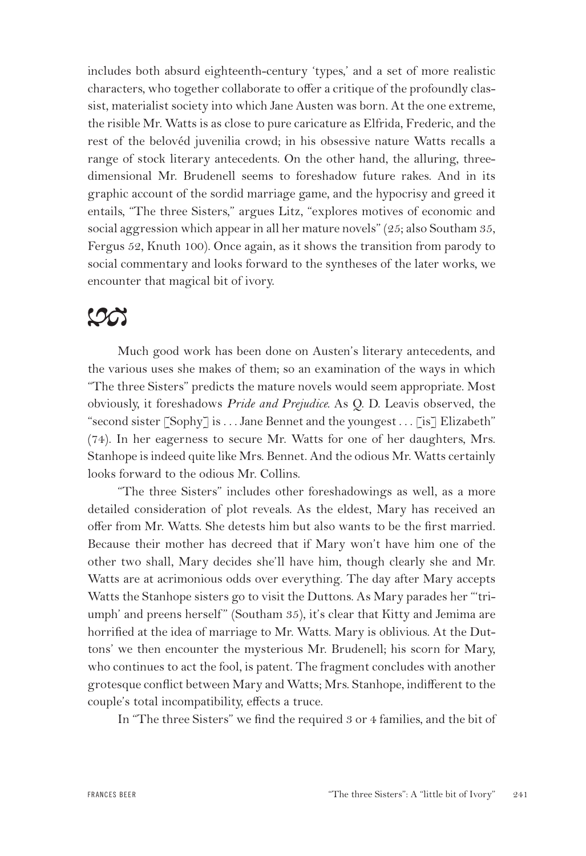includes both absurd eighteenth-century 'types,' and a set of more realistic characters, who together collaborate to offer a critique of the profoundly classist, materialist society into which Jane Austen was born. At the one extreme, the risible Mr. Watts is as close to pure caricature as Elfrida, Frederic, and the rest of the belovéd juvenilia crowd; in his obsessive nature Watts recalls a range of stock literary antecedents. On the other hand, the alluring, threedimensional Mr. Brudenell seems to foreshadow future rakes. And in its graphic account of the sordid marriage game, and the hypocrisy and greed it entails, "The three Sisters," argues Litz, "explores motives of economic and social aggression which appear in all her mature novels" (25; also Southam 35, Fergus 52, Knuth 100). Once again, as it shows the transition from parody to social commentary and looks forward to the syntheses of the later works, we encounter that magical bit of ivory.

# $\infty$

Much good work has been done on Austen's literary antecedents, and the various uses she makes of them; so an examination of the ways in which "The three Sisters" predicts the mature novels would seem appropriate. Most obviously, it foreshadows *Pride and Prejudice.* As Q. D. Leavis observed, the "second sister [Sophy] is . . . Jane Bennet and the youngest . . . [is] Elizabeth" (74). In her eagerness to secure Mr. Watts for one of her daughters, Mrs. Stanhope is indeed quite like Mrs. Bennet. And the odious Mr. Watts certainly looks forward to the odious Mr. Collins.

"The three Sisters" includes other foreshadowings as well, as a more detailed consideration of plot reveals. As the eldest, Mary has received an offer from Mr. Watts. She detests him but also wants to be the first married. Because their mother has decreed that if Mary won't have him one of the other two shall, Mary decides she'll have him, though clearly she and Mr. Watts are at acrimonious odds over everything. The day after Mary accepts Watts the Stanhope sisters go to visit the Duttons. As Mary parades her "'triumph' and preens herself" (Southam 35), it's clear that Kitty and Jemima are horrified at the idea of marriage to Mr. Watts. Mary is oblivious. At the Duttons' we then encounter the mysterious Mr. Brudenell; his scorn for Mary, who continues to act the fool, is patent. The fragment concludes with another grotesque conflict between Mary and Watts; Mrs. Stanhope, indifferent to the couple's total incompatibility, effects a truce.

In "The three Sisters" we find the required 3 or 4 families, and the bit of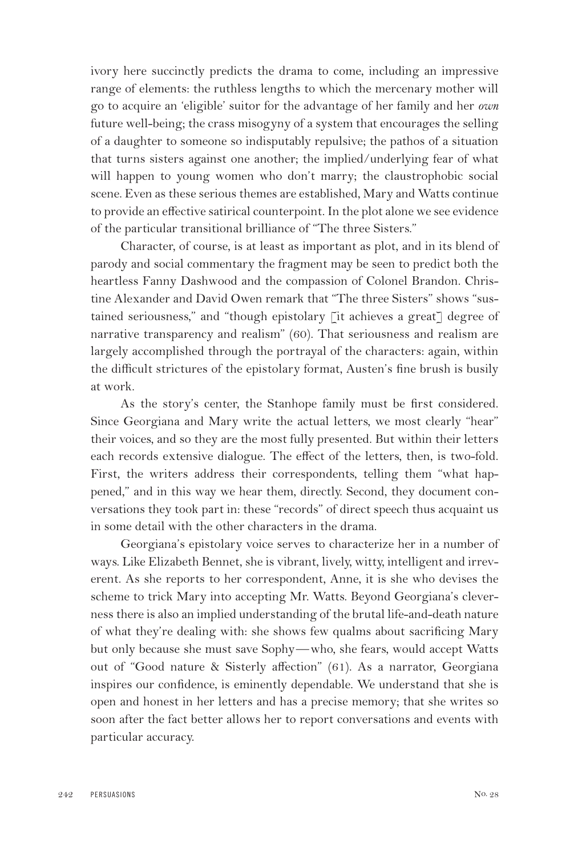ivory here succinctly predicts the drama to come, including an impressive range of elements: the ruthless lengths to which the mercenary mother will go to acquire an 'eligible' suitor for the advantage of her family and her *own* future well-being; the crass misogyny of a system that encourages the selling of a daughter to someone so indisputably repulsive; the pathos of a situation that turns sisters against one another; the implied/underlying fear of what will happen to young women who don't marry; the claustrophobic social scene. Even as these serious themes are established, Mary and Watts continue to provide an effective satirical counterpoint. In the plot alone we see evidence of the particular transitional brilliance of "The three Sisters."

Character, of course, is at least as important as plot, and in its blend of parody and social commentary the fragment may be seen to predict both the heartless Fanny Dashwood and the compassion of Colonel Brandon. Christine Alexander and David Owen remark that "The three Sisters" shows "sustained seriousness," and "though epistolary [it achieves a great] degree of narrative transparency and realism" (60). That seriousness and realism are largely accomplished through the portrayal of the characters: again, within the difficult strictures of the epistolary format, Austen's fine brush is busily at work.

As the story's center, the Stanhope family must be first considered. Since Georgiana and Mary write the actual letters, we most clearly "hear" their voices, and so they are the most fully presented. But within their letters each records extensive dialogue. The effect of the letters, then, is two-fold. First, the writers address their correspondents, telling them "what happened," and in this way we hear them, directly. Second, they document conversations they took part in: these "records" of direct speech thus acquaint us in some detail with the other characters in the drama.

Georgiana's epistolary voice serves to characterize her in a number of ways. Like Elizabeth Bennet, she is vibrant, lively, witty, intelligent and irreverent. As she reports to her correspondent, Anne, it is she who devises the scheme to trick Mary into accepting Mr. Watts. Beyond Georgiana's cleverness there is also an implied understanding of the brutal life-and-death nature of what they're dealing with: she shows few qualms about sacrificing Mary but only because she must save Sophy—who, she fears, would accept Watts out of "Good nature & Sisterly affection" (61). As a narrator, Georgiana inspires our confidence, is eminently dependable. We understand that she is open and honest in her letters and has a precise memory; that she writes so soon after the fact better allows her to report conversations and events with particular accuracy.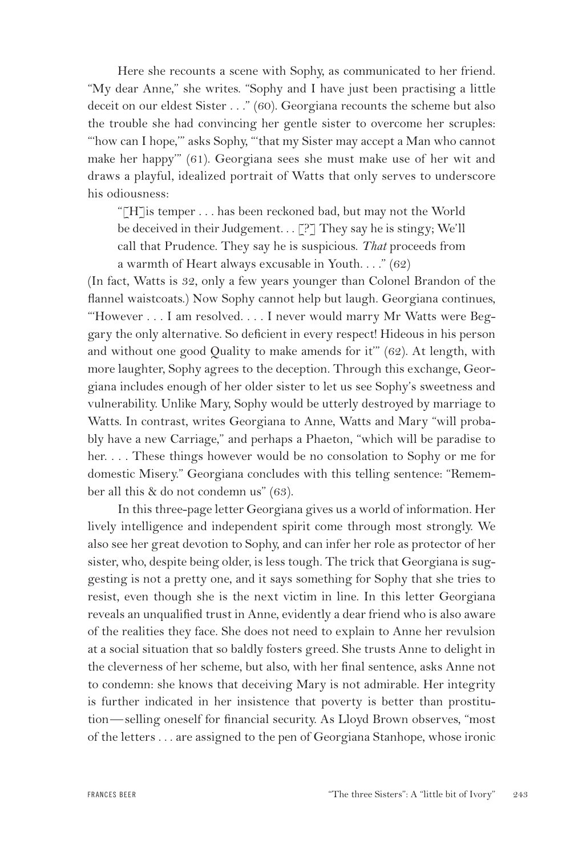Here she recounts a scene with Sophy, as communicated to her friend. "My dear Anne," she writes. "Sophy and I have just been practising a little deceit on our eldest Sister . . ." (60). Georgiana recounts the scheme but also the trouble she had convincing her gentle sister to overcome her scruples: "'how can I hope,'" asks Sophy, "'that my Sister may accept a Man who cannot make her happy'" (61). Georgiana sees she must make use of her wit and draws a playful, idealized portrait of Watts that only serves to underscore his odiousness:

"[H]is temper . . . has been reckoned bad, but may not the World be deceived in their Judgement.  $\Gamma$ .  $\Gamma$ ? They say he is stingy; We'll call that Prudence. They say he is suspicious. *That* proceeds from a warmth of Heart always excusable in Youth. . . ." (62)

(In fact, Watts is 32, only a few years younger than Colonel Brandon of the flannel waistcoats.) Now Sophy cannot help but laugh. Georgiana continues, "However . . . I am resolved. . . . I never would marry Mr Watts were Beggary the only alternative. So deficient in every respect! Hideous in his person and without one good Quality to make amends for it'" (62). At length, with more laughter, Sophy agrees to the deception. Through this exchange, Georgiana includes enough of her older sister to let us see Sophy's sweetness and vulnerability. Unlike Mary, Sophy would be utterly destroyed by marriage to Watts. In contrast, writes Georgiana to Anne, Watts and Mary "will probably have a new Carriage," and perhaps a Phaeton, "which will be paradise to her. . . . These things however would be no consolation to Sophy or me for domestic Misery." Georgiana concludes with this telling sentence: "Remember all this & do not condemn us" (63).

In this three-page letter Georgiana gives us a world of information. Her lively intelligence and independent spirit come through most strongly. We also see her great devotion to Sophy, and can infer her role as protector of her sister, who, despite being older, is less tough. The trick that Georgiana is suggesting is not a pretty one, and it says something for Sophy that she tries to resist, even though she is the next victim in line. In this letter Georgiana reveals an unqualified trust in Anne, evidently a dear friend who is also aware of the realities they face. She does not need to explain to Anne her revulsion at a social situation that so baldly fosters greed. She trusts Anne to delight in the cleverness of her scheme, but also, with her final sentence, asks Anne not to condemn: she knows that deceiving Mary is not admirable. Her integrity is further indicated in her insistence that poverty is better than prostitution—selling oneself for financial security. As Lloyd Brown observes, "most of the letters . . . are assigned to the pen of Georgiana Stanhope, whose ironic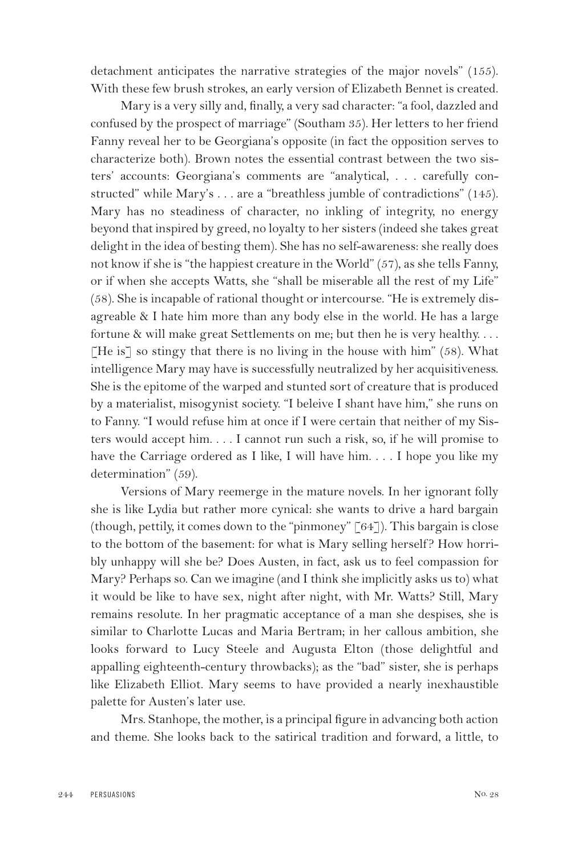detachment anticipates the narrative strategies of the major novels" (155). With these few brush strokes, an early version of Elizabeth Bennet is created.

Mary is a very silly and, finally, a very sad character: "a fool, dazzled and confused by the prospect of marriage" (Southam 35). Her letters to her friend Fanny reveal her to be Georgiana's opposite (in fact the opposition serves to characterize both). Brown notes the essential contrast between the two sisters' accounts: Georgiana's comments are "analytical, . . . carefully constructed" while Mary's . . . are a "breathless jumble of contradictions" (145). Mary has no steadiness of character, no inkling of integrity, no energy beyond that inspired by greed, no loyalty to her sisters (indeed she takes great delight in the idea of besting them). She has no self-awareness: she really does not know if she is "the happiest creature in the World" (57), as she tells Fanny, or if when she accepts Watts, she "shall be miserable all the rest of my Life" (58). She is incapable of rational thought or intercourse. "He is extremely disagreable & I hate him more than any body else in the world. He has a large fortune & will make great Settlements on me; but then he is very healthy. . . . [He is] so stingy that there is no living in the house with him"  $(58)$ . What intelligence Mary may have is successfully neutralized by her acquisitiveness. She is the epitome of the warped and stunted sort of creature that is produced by a materialist, misogynist society. "I beleive I shant have him," she runs on to Fanny. "I would refuse him at once if I were certain that neither of my Sisters would accept him. . . . I cannot run such a risk, so, if he will promise to have the Carriage ordered as I like, I will have him. . . . I hope you like my determination" (59).

Versions of Mary reemerge in the mature novels. In her ignorant folly she is like Lydia but rather more cynical: she wants to drive a hard bargain (though, pettily, it comes down to the "pinmoney"  $[64]$ ). This bargain is close to the bottom of the basement: for what is Mary selling herself ? How horribly unhappy will she be? Does Austen, in fact, ask us to feel compassion for Mary? Perhaps so. Can we imagine (and I think she implicitly asks us to) what it would be like to have sex, night after night, with Mr. Watts? Still, Mary remains resolute. In her pragmatic acceptance of a man she despises, she is similar to Charlotte Lucas and Maria Bertram; in her callous ambition, she looks forward to Lucy Steele and Augusta Elton (those delightful and appalling eighteenth-century throwbacks); as the "bad" sister, she is perhaps like Elizabeth Elliot. Mary seems to have provided a nearly inexhaustible palette for Austen's later use.

Mrs. Stanhope, the mother, is a principal figure in advancing both action and theme. She looks back to the satirical tradition and forward, a little, to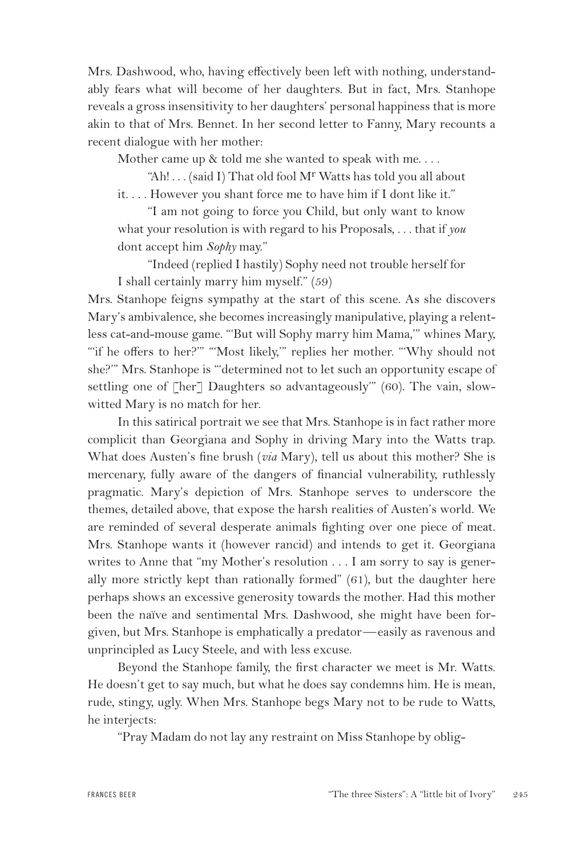Mrs. Dashwood, who, having effectively been left with nothing, understandably fears what will become of her daughters. But in fact, Mrs. Stanhope reveals a gross insensitivity to her daughters' personal happiness that is more akin to that of Mrs. Bennet. In her second letter to Fanny, Mary recounts a recent dialogue with her mother:

Mother came up & told me she wanted to speak with me. . . .

"Ah! . . . (said I) That old fool Mr Watts has told you all about

it. . . . However you shant force me to have him if I dont like it."

"I am not going to force you Child, but only want to know what your resolution is with regard to his Proposals, . . . that if *you* dont accept him *Sophy* may."

"Indeed (replied I hastily) Sophy need not trouble herself for I shall certainly marry him myself." (59)

Mrs. Stanhope feigns sympathy at the start of this scene. As she discovers Mary's ambivalence, she becomes increasingly manipulative, playing a relentless cat-and-mouse game. "'But will Sophy marry him Mama,'" whines Mary, "if he offers to her?"" "Most likely," replies her mother. "Why should not she?'" Mrs. Stanhope is "'determined not to let such an opportunity escape of settling one of [her] Daughters so advantageously" (60). The vain, slowwitted Mary is no match for her.

In this satirical portrait we see that Mrs. Stanhope is in fact rather more complicit than Georgiana and Sophy in driving Mary into the Watts trap. What does Austen's fine brush (*via* Mary), tell us about this mother? She is mercenary, fully aware of the dangers of financial vulnerability, ruthlessly pragmatic. Mary's depiction of Mrs. Stanhope serves to underscore the themes, detailed above, that expose the harsh realities of Austen's world. We are reminded of several desperate animals fighting over one piece of meat. Mrs. Stanhope wants it (however rancid) and intends to get it. Georgiana writes to Anne that "my Mother's resolution . . . I am sorry to say is generally more strictly kept than rationally formed" (61), but the daughter here perhaps shows an excessive generosity towards the mother. Had this mother been the naïve and sentimental Mrs. Dashwood, she might have been forgiven, but Mrs. Stanhope is emphatically a predator—easily as ravenous and unprincipled as Lucy Steele, and with less excuse.

Beyond the Stanhope family, the first character we meet is Mr. Watts. He doesn't get to say much, but what he does say condemns him. He is mean, rude, stingy, ugly. When Mrs. Stanhope begs Mary not to be rude to Watts, he interjects:

"Pray Madam do not lay any restraint on Miss Stanhope by oblig-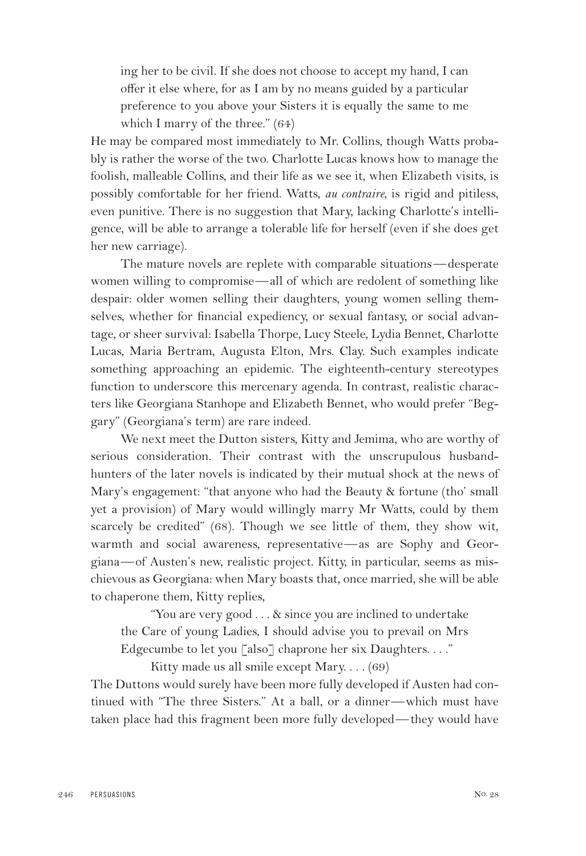ing her to be civil. If she does not choose to accept my hand, I can offer it else where, for as I am by no means guided by a particular preference to you above your Sisters it is equally the same to me which I marry of the three." (64)

He may be compared most immediately to Mr. Collins, though Watts probably is rather the worse of the two. Charlotte Lucas knows how to manage the foolish, malleable Collins, and their life as we see it, when Elizabeth visits, is possibly comfortable for her friend. Watts, *au contraire*, is rigid and pitiless, even punitive. There is no suggestion that Mary, lacking Charlotte's intelligence, will be able to arrange a tolerable life for herself (even if she does get her new carriage).

The mature novels are replete with comparable situations—desperate women willing to compromise—all of which are redolent of something like despair: older women selling their daughters, young women selling themselves, whether for financial expediency, or sexual fantasy, or social advantage, or sheer survival: Isabella Thorpe, Lucy Steele, Lydia Bennet, Charlotte Lucas, Maria Bertram, Augusta Elton, Mrs. Clay. Such examples indicate something approaching an epidemic. The eighteenth-century stereotypes function to underscore this mercenary agenda. In contrast, realistic characters like Georgiana Stanhope and Elizabeth Bennet, who would prefer "Beggary" (Georgiana's term) are rare indeed.

We next meet the Dutton sisters, Kitty and Jemima, who are worthy of serious consideration. Their contrast with the unscrupulous husbandhunters of the later novels is indicated by their mutual shock at the news of Mary's engagement: "that anyone who had the Beauty & fortune (tho' small yet a provision) of Mary would willingly marry Mr Watts, could by them scarcely be credited" (68). Though we see little of them, they show wit, warmth and social awareness, representative—as are Sophy and Georgiana—of Austen's new, realistic project. Kitty, in particular, seems as mischievous as Georgiana: when Mary boasts that, once married, she will be able to chaperone them, Kitty replies,

"You are very good . . . & since you are inclined to undertake the Care of young Ladies, I should advise you to prevail on Mrs Edgecumbe to let you [also] chaprone her six Daughters...."

Kitty made us all smile except Mary. . . . (69) The Duttons would surely have been more fully developed if Austen had continued with "The three Sisters." At a ball, or a dinner—which must have taken place had this fragment been more fully developed—they would have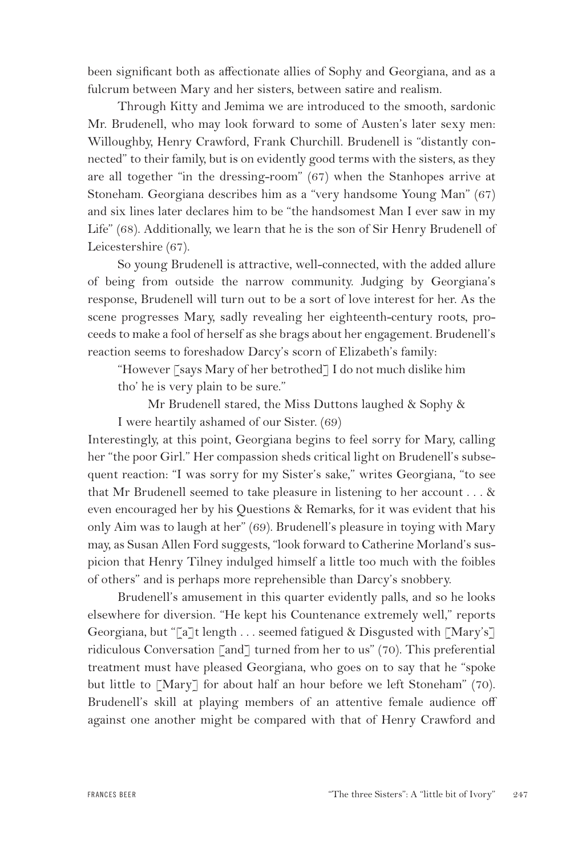been significant both as affectionate allies of Sophy and Georgiana, and as a fulcrum between Mary and her sisters, between satire and realism.

Through Kitty and Jemima we are introduced to the smooth, sardonic Mr. Brudenell, who may look forward to some of Austen's later sexy men: Willoughby, Henry Crawford, Frank Churchill. Brudenell is "distantly connected" to their family, but is on evidently good terms with the sisters, as they are all together "in the dressing-room" (67) when the Stanhopes arrive at Stoneham. Georgiana describes him as a "very handsome Young Man" (67) and six lines later declares him to be "the handsomest Man I ever saw in my Life" (68). Additionally, we learn that he is the son of Sir Henry Brudenell of Leicestershire (67).

So young Brudenell is attractive, well-connected, with the added allure of being from outside the narrow community. Judging by Georgiana's response, Brudenell will turn out to be a sort of love interest for her. As the scene progresses Mary, sadly revealing her eighteenth-century roots, proceeds to make a fool of herself as she brags about her engagement. Brudenell's reaction seems to foreshadow Darcy's scorn of Elizabeth's family:

"However [says Mary of her betrothed] I do not much dislike him tho' he is very plain to be sure."

Mr Brudenell stared, the Miss Duttons laughed & Sophy & I were heartily ashamed of our Sister. (69)

Interestingly, at this point, Georgiana begins to feel sorry for Mary, calling her "the poor Girl." Her compassion sheds critical light on Brudenell's subsequent reaction: "I was sorry for my Sister's sake," writes Georgiana, "to see that Mr Brudenell seemed to take pleasure in listening to her account  $\dots$  & even encouraged her by his Questions & Remarks, for it was evident that his only Aim was to laugh at her" (69). Brudenell's pleasure in toying with Mary may, as Susan Allen Ford suggests, "look forward to Catherine Morland's suspicion that Henry Tilney indulged himself a little too much with the foibles of others" and is perhaps more reprehensible than Darcy's snobbery.

Brudenell's amusement in this quarter evidently palls, and so he looks elsewhere for diversion. "He kept his Countenance extremely well," reports Georgiana, but "[a]t length . . . seemed fatigued & Disgusted with [Mary's] ridiculous Conversation [and] turned from her to us" (70). This preferential treatment must have pleased Georgiana, who goes on to say that he "spoke but little to [Mary] for about half an hour before we left Stoneham" (70). Brudenell's skill at playing members of an attentive female audience off against one another might be compared with that of Henry Crawford and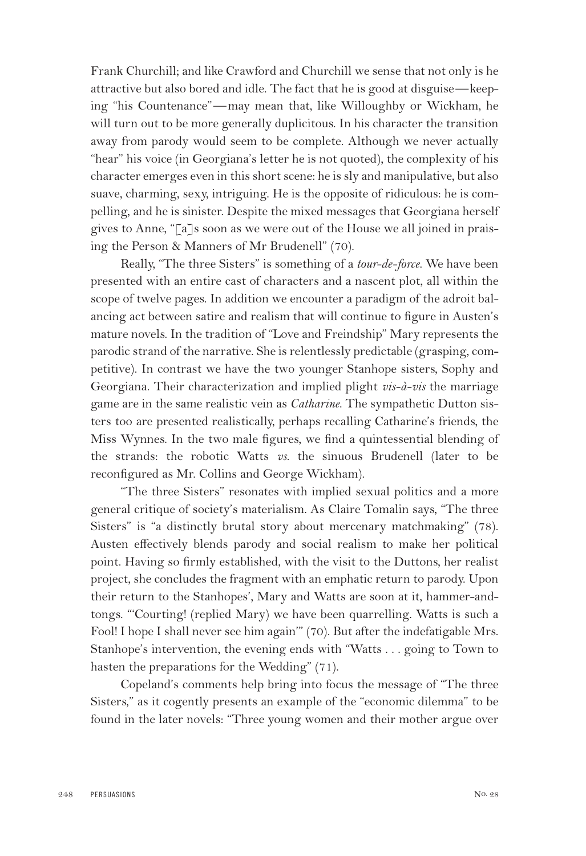Frank Churchill; and like Crawford and Churchill we sense that not only is he attractive but also bored and idle. The fact that he is good at disguise—keeping "his Countenance"—may mean that, like Willoughby or Wickham, he will turn out to be more generally duplicitous. In his character the transition away from parody would seem to be complete. Although we never actually "hear" his voice (in Georgiana's letter he is not quoted), the complexity of his character emerges even in this short scene: he is sly and manipulative, but also suave, charming, sexy, intriguing. He is the opposite of ridiculous: he is compelling, and he is sinister. Despite the mixed messages that Georgiana herself gives to Anne, "[a]s soon as we were out of the House we all joined in praising the Person & Manners of Mr Brudenell" (70).

Really, "The three Sisters" is something of a *tour-de-force*. We have been presented with an entire cast of characters and a nascent plot, all within the scope of twelve pages. In addition we encounter a paradigm of the adroit balancing act between satire and realism that will continue to figure in Austen's mature novels. In the tradition of "Love and Freindship" Mary represents the parodic strand of the narrative. She is relentlessly predictable (grasping, competitive). In contrast we have the two younger Stanhope sisters, Sophy and Georgiana. Their characterization and implied plight *vis-à-vis* the marriage game are in the same realistic vein as *Catharine*. The sympathetic Dutton sisters too are presented realistically, perhaps recalling Catharine's friends, the Miss Wynnes. In the two male figures, we find a quintessential blending of the strands: the robotic Watts *vs.* the sinuous Brudenell (later to be reconfigured as Mr. Collins and George Wickham).

"The three Sisters" resonates with implied sexual politics and a more general critique of society's materialism. As Claire Tomalin says, "The three Sisters" is "a distinctly brutal story about mercenary matchmaking" (78). Austen effectively blends parody and social realism to make her political point. Having so firmly established, with the visit to the Duttons, her realist project, she concludes the fragment with an emphatic return to parody. Upon their return to the Stanhopes', Mary and Watts are soon at it, hammer-andtongs. "'Courting! (replied Mary) we have been quarrelling. Watts is such a Fool! I hope I shall never see him again'" (70). But after the indefatigable Mrs. Stanhope's intervention, the evening ends with "Watts . . . going to Town to hasten the preparations for the Wedding" (71).

Copeland's comments help bring into focus the message of "The three Sisters," as it cogently presents an example of the "economic dilemma" to be found in the later novels: "Three young women and their mother argue over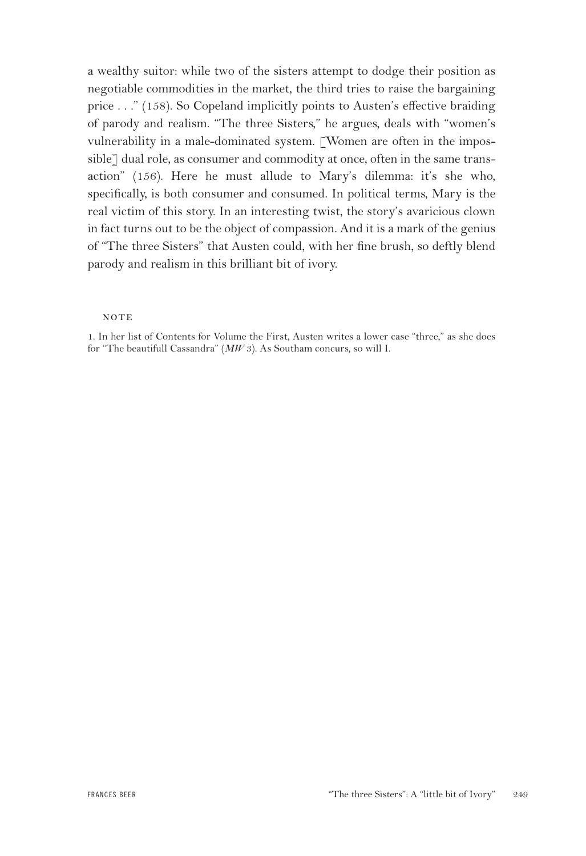a wealthy suitor: while two of the sisters attempt to dodge their position as negotiable commodities in the market, the third tries to raise the bargaining price . . ." (158). So Copeland implicitly points to Austen's effective braiding of parody and realism. "The three Sisters," he argues, deals with "women's vulnerability in a male-dominated system. [Women are often in the impossible] dual role, as consumer and commodity at once, often in the same transaction" (156). Here he must allude to Mary's dilemma: it's she who, specifically, is both consumer and consumed. In political terms, Mary is the real victim of this story. In an interesting twist, the story's avaricious clown in fact turns out to be the object of compassion. And it is a mark of the genius of "The three Sisters" that Austen could, with her fine brush, so deftly blend parody and realism in this brilliant bit of ivory.

### **NOTE**

1. In her list of Contents for Volume the First, Austen writes a lower case "three," as she does for "The beautifull Cassandra" (*MW* 3). As Southam concurs, so will I.